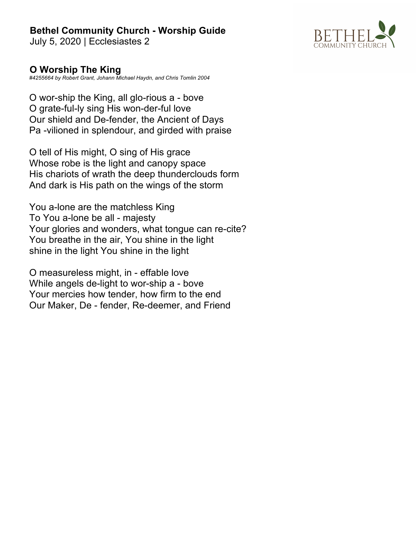July 5, 2020 | Ecclesiastes 2



#### **O Worship The King**

*#4255664 by Robert Grant, Johann Michael Haydn, and Chris Tomlin 2004*

O wor-ship the King, all glo-rious a - bove O grate-ful-ly sing His won-der-ful love Our shield and De-fender, the Ancient of Days Pa -vilioned in splendour, and girded with praise

O tell of His might, O sing of His grace Whose robe is the light and canopy space His chariots of wrath the deep thunderclouds form And dark is His path on the wings of the storm

You a-lone are the matchless King To You a-lone be all - majesty Your glories and wonders, what tongue can re-cite? You breathe in the air, You shine in the light shine in the light You shine in the light

O measureless might, in - effable love While angels de-light to wor-ship a - bove Your mercies how tender, how firm to the end Our Maker, De - fender, Re-deemer, and Friend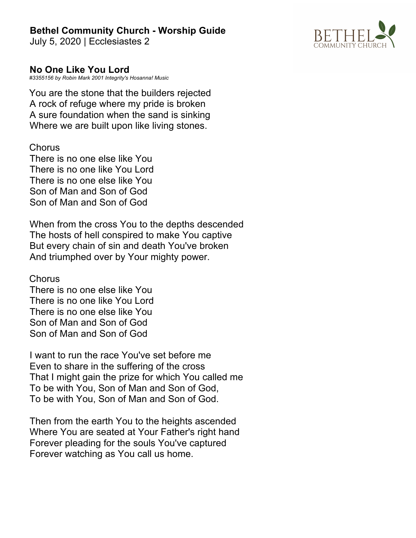July 5, 2020 | Ecclesiastes 2



#### **No One Like You Lord**

*#3355156 by Robin Mark 2001 Integrity's Hosanna! Music*

You are the stone that the builders rejected A rock of refuge where my pride is broken A sure foundation when the sand is sinking Where we are built upon like living stones.

#### **Chorus**

There is no one else like You There is no one like You Lord There is no one else like You Son of Man and Son of God Son of Man and Son of God

When from the cross You to the depths descended The hosts of hell conspired to make You captive But every chain of sin and death You've broken And triumphed over by Your mighty power.

**Chorus** 

There is no one else like You There is no one like You Lord There is no one else like You Son of Man and Son of God Son of Man and Son of God

I want to run the race You've set before me Even to share in the suffering of the cross That I might gain the prize for which You called me To be with You, Son of Man and Son of God, To be with You, Son of Man and Son of God.

Then from the earth You to the heights ascended Where You are seated at Your Father's right hand Forever pleading for the souls You've captured Forever watching as You call us home.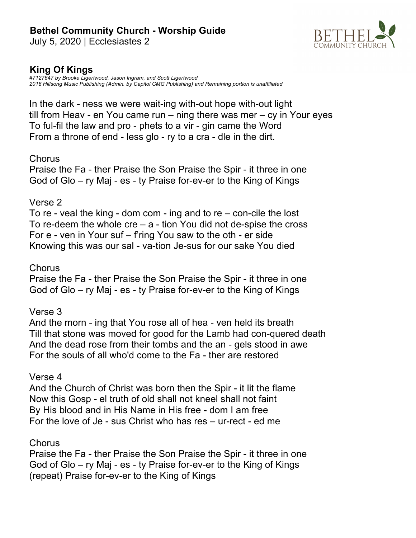July 5, 2020 | Ecclesiastes 2



## **King Of Kings**

*#7127647 by Brooke Ligertwood, Jason Ingram, and Scott Ligertwood 2018 Hillsong Music Publishing (Admin. by Capitol CMG Publishing) and Remaining portion is unaffiliated*

In the dark - ness we were wait-ing with-out hope with-out light till from Heav - en You came run – ning there was mer – cy in Your eyes To ful-fil the law and pro - phets to a vir - gin came the Word From a throne of end - less glo - ry to a cra - dle in the dirt.

#### **Chorus**

Praise the Fa - ther Praise the Son Praise the Spir - it three in one God of Glo – ry Maj - es - ty Praise for-ev-er to the King of Kings

#### Verse 2

To re - veal the king - dom com - ing and to re – con-cile the lost To re-deem the whole  $cre - a$  - tion You did not de-spise the cross For e - ven in Your suf – f'ring You saw to the oth - er side Knowing this was our sal - va-tion Je-sus for our sake You died

#### **Chorus**

Praise the Fa - ther Praise the Son Praise the Spir - it three in one God of Glo – ry Maj - es - ty Praise for-ev-er to the King of Kings

#### Verse 3

And the morn - ing that You rose all of hea - ven held its breath Till that stone was moved for good for the Lamb had con-quered death And the dead rose from their tombs and the an - gels stood in awe For the souls of all who'd come to the Fa - ther are restored

#### Verse 4

And the Church of Christ was born then the Spir - it lit the flame Now this Gosp - el truth of old shall not kneel shall not faint By His blood and in His Name in His free - dom I am free For the love of Je - sus Christ who has res – ur-rect - ed me

#### **Chorus**

Praise the Fa - ther Praise the Son Praise the Spir - it three in one God of Glo – ry Maj - es - ty Praise for-ev-er to the King of Kings (repeat) Praise for-ev-er to the King of Kings